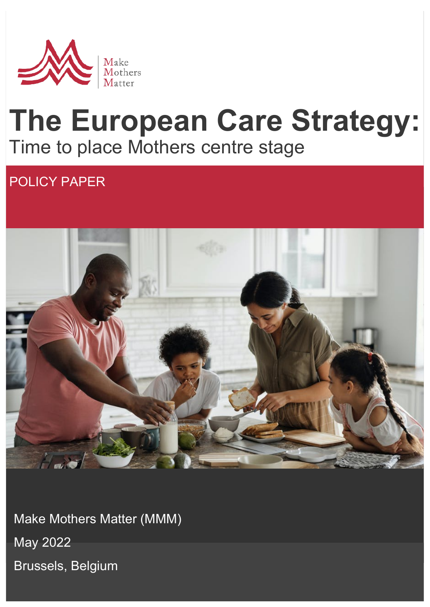

# **The European Care Strategy:** Time to place Mothers centre stage

# POLICY PAPER



Make Mothers Matter (MMM) May 2022 Brussels, Belgium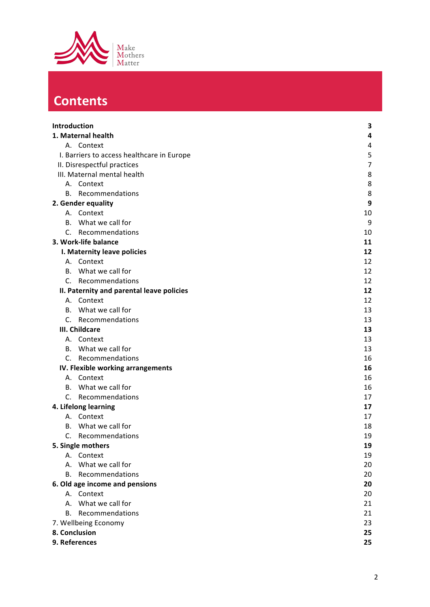

# **Contents**

| Introduction                      |                                            | 3  |
|-----------------------------------|--------------------------------------------|----|
| 1. Maternal health                |                                            | 4  |
|                                   | A. Context                                 | 4  |
|                                   | I. Barriers to access healthcare in Europe | 5  |
| II. Disrespectful practices       |                                            | 7  |
|                                   | III. Maternal mental health                | 8  |
|                                   | A. Context                                 | 8  |
| В.                                | Recommendations                            | 8  |
| 2. Gender equality                |                                            | 9  |
|                                   | A. Context                                 | 10 |
| В.                                | What we call for                           | 9  |
|                                   | C. Recommendations                         | 10 |
|                                   | 3. Work-life balance                       | 11 |
|                                   | I. Maternity leave policies                | 12 |
|                                   | A. Context                                 | 12 |
|                                   | B. What we call for                        | 12 |
|                                   | C. Recommendations                         | 12 |
|                                   | II. Paternity and parental leave policies  | 12 |
| А.                                | Context                                    | 12 |
| В.                                | What we call for                           | 13 |
|                                   | C. Recommendations                         | 13 |
| III. Childcare                    |                                            | 13 |
| А.                                | Context                                    | 13 |
|                                   | B. What we call for                        | 13 |
|                                   | C. Recommendations                         | 16 |
| IV. Flexible working arrangements |                                            | 16 |
| А.                                | Context                                    | 16 |
| В.                                | What we call for                           | 16 |
| C.                                | Recommendations                            | 17 |
| 4. Lifelong learning              |                                            | 17 |
| А.                                | Context                                    | 17 |
| В.                                | What we call for                           | 18 |
| C.                                | Recommendations                            | 19 |
|                                   | 5. Single mothers                          | 19 |
| А.                                | Context                                    | 19 |
| А.                                | What we call for                           | 20 |
| В.                                | Recommendations                            | 20 |
| 6. Old age income and pensions    |                                            | 20 |
|                                   | A. Context                                 | 20 |
| А.                                | What we call for                           | 21 |
| В.                                | Recommendations                            | 21 |
| 7. Wellbeing Economy              |                                            | 23 |
| 8. Conclusion                     |                                            | 25 |
| 9. References                     |                                            | 25 |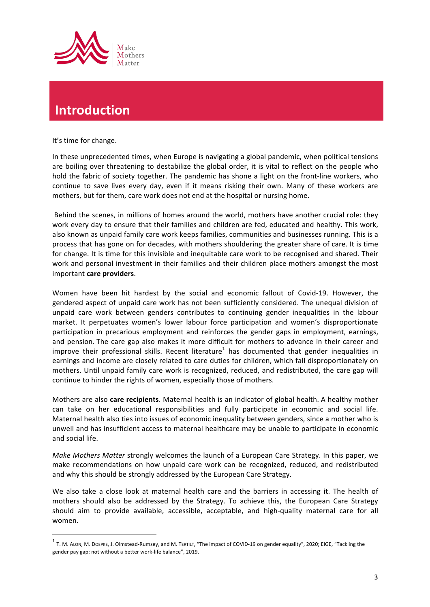

### **Introduction**

<u> 1989 - Jan Samuel Barbara, margaret e</u>

It's time for change.

In these unprecedented times, when Europe is navigating a global pandemic, when political tensions are boiling over threatening to destabilize the global order, it is vital to reflect on the people who hold the fabric of society together. The pandemic has shone a light on the front-line workers, who continue to save lives every day, even if it means risking their own. Many of these workers are mothers, but for them, care work does not end at the hospital or nursing home.

Behind the scenes, in millions of homes around the world, mothers have another crucial role: they work every day to ensure that their families and children are fed, educated and healthy. This work, also known as unpaid family care work keeps families, communities and businesses running. This is a process that has gone on for decades, with mothers shouldering the greater share of care. It is time for change. It is time for this invisible and inequitable care work to be recognised and shared. Their work and personal investment in their families and their children place mothers amongst the most important **care providers**.

Women have been hit hardest by the social and economic fallout of Covid-19. However, the gendered aspect of unpaid care work has not been sufficiently considered. The unequal division of unpaid care work between genders contributes to continuing gender inequalities in the labour market. It perpetuates women's lower labour force participation and women's disproportionate participation in precarious employment and reinforces the gender gaps in employment, earnings, and pension. The care gap also makes it more difficult for mothers to advance in their career and improve their professional skills. Recent literature<sup>1</sup> has documented that gender inequalities in earnings and income are closely related to care duties for children, which fall disproportionately on mothers. Until unpaid family care work is recognized, reduced, and redistributed, the care gap will continue to hinder the rights of women, especially those of mothers.

Mothers are also **care recipients**. Maternal health is an indicator of global health. A healthy mother can take on her educational responsibilities and fully participate in economic and social life. Maternal health also ties into issues of economic inequality between genders, since a mother who is unwell and has insufficient access to maternal healthcare may be unable to participate in economic and social life.

*Make Mothers Matter* strongly welcomes the launch of a European Care Strategy. In this paper, we make recommendations on how unpaid care work can be recognized, reduced, and redistributed and why this should be strongly addressed by the European Care Strategy.

We also take a close look at maternal health care and the barriers in accessing it. The health of mothers should also be addressed by the Strategy. To achieve this, the European Care Strategy should aim to provide available, accessible, acceptable, and high-quality maternal care for all women. 

 $1$  T. M. ALON, M. DOEPKE, J. Olmstead-Rumsey, and M. TERTILT, "The impact of COVID-19 on gender equality", 2020; EIGE, "Tackling the gender pay gap: not without a better work-life balance", 2019.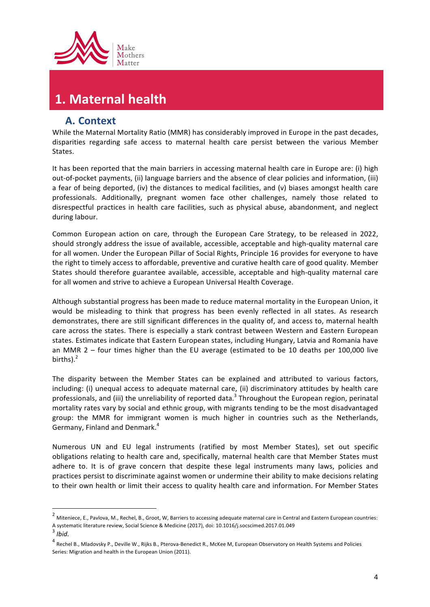

### 1. Maternal health

#### **A. Context**

While the Maternal Mortality Ratio (MMR) has considerably improved in Europe in the past decades, disparities regarding safe access to maternal health care persist between the various Member States. 

It has been reported that the main barriers in accessing maternal health care in Europe are: (i) high out-of-pocket payments, (ii) language barriers and the absence of clear policies and information, (iii) a fear of being deported, (iv) the distances to medical facilities, and (v) biases amongst health care professionals. Additionally, pregnant women face other challenges, namely those related to disrespectful practices in health care facilities, such as physical abuse, abandonment, and neglect during labour.

Common European action on care, through the European Care Strategy, to be released in 2022, should strongly address the issue of available, accessible, acceptable and high-quality maternal care for all women. Under the European Pillar of Social Rights, Principle 16 provides for everyone to have the right to timely access to affordable, preventive and curative health care of good quality. Member States should therefore guarantee available, accessible, acceptable and high-quality maternal care for all women and strive to achieve a European Universal Health Coverage.

Although substantial progress has been made to reduce maternal mortality in the European Union, it would be misleading to think that progress has been evenly reflected in all states. As research demonstrates, there are still significant differences in the quality of, and access to, maternal health care across the states. There is especially a stark contrast between Western and Eastern European states. Estimates indicate that Eastern European states, including Hungary, Latvia and Romania have an MMR  $2$  – four times higher than the EU average (estimated to be 10 deaths per 100,000 live births). $<sup>2</sup>$ </sup>

The disparity between the Member States can be explained and attributed to various factors, including: (i) unequal access to adequate maternal care, (ii) discriminatory attitudes by health care professionals, and (iii) the unreliability of reported data.<sup>3</sup> Throughout the European region, perinatal mortality rates vary by social and ethnic group, with migrants tending to be the most disadvantaged group: the MMR for immigrant women is much higher in countries such as the Netherlands, Germany, Finland and Denmark.<sup>4</sup>

Numerous UN and EU legal instruments (ratified by most Member States), set out specific obligations relating to health care and, specifically, maternal health care that Member States must adhere to. It is of grave concern that despite these legal instruments many laws, policies and practices persist to discriminate against women or undermine their ability to make decisions relating to their own health or limit their access to quality health care and information. For Member States

 

 $2$  Miteniece, E., Pavlova, M., Rechel, B., Groot, W, Barriers to accessing adequate maternal care in Central and Eastern European countries: A systematic literature review, Social Science & Medicine (2017), doi: 10.1016/j.socscimed.2017.01.049

<sup>3</sup> *Ibid.*

<sup>&</sup>lt;sup>4</sup> Rechel B., Mladovsky P., Deville W., Rijks B., Pterova-Benedict R., McKee M, European Observatory on Health Systems and Policies Series: Migration and health in the European Union (2011).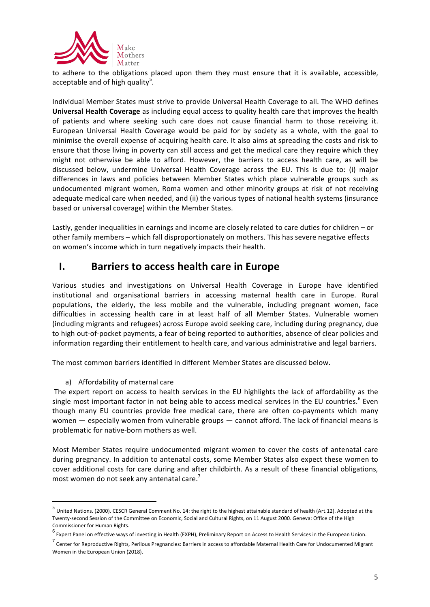

to adhere to the obligations placed upon them they must ensure that it is available, accessible, acceptable and of high quality<sup>5</sup>.

Individual Member States must strive to provide Universal Health Coverage to all. The WHO defines **Universal Health Coverage** as including equal access to quality health care that improves the health of patients and where seeking such care does not cause financial harm to those receiving it. European Universal Health Coverage would be paid for by society as a whole, with the goal to minimise the overall expense of acquiring health care. It also aims at spreading the costs and risk to ensure that those living in poverty can still access and get the medical care they require which they might not otherwise be able to afford. However, the barriers to access health care, as will be discussed below, undermine Universal Health Coverage across the EU. This is due to: (i) major differences in laws and policies between Member States which place vulnerable groups such as undocumented migrant women, Roma women and other minority groups at risk of not receiving adequate medical care when needed, and (ii) the various types of national health systems (insurance based or universal coverage) within the Member States.

Lastly, gender inequalities in earnings and income are closely related to care duties for children - or other family members - which fall disproportionately on mothers. This has severe negative effects on women's income which in turn negatively impacts their health.

#### **I.** Barriers to access health care in Europe

Various studies and investigations on Universal Health Coverage in Europe have identified institutional and organisational barriers in accessing maternal health care in Europe. Rural populations, the elderly, the less mobile and the vulnerable, including pregnant women, face difficulties in accessing health care in at least half of all Member States. Vulnerable women (including migrants and refugees) across Europe avoid seeking care, including during pregnancy, due to high out-of-pocket payments, a fear of being reported to authorities, absence of clear policies and information regarding their entitlement to health care, and various administrative and legal barriers.

The most common barriers identified in different Member States are discussed below.

#### a) Affordability of maternal care

<u> 1989 - Jan Samuel Barbara, margaret e</u>

The expert report on access to health services in the EU highlights the lack of affordability as the single most important factor in not being able to access medical services in the EU countries.<sup>6</sup> Even though many EU countries provide free medical care, there are often co-payments which many women  $-$  especially women from vulnerable groups  $-$  cannot afford. The lack of financial means is problematic for native-born mothers as well.

Most Member States require undocumented migrant women to cover the costs of antenatal care during pregnancy. In addition to antenatal costs, some Member States also expect these women to cover additional costs for care during and after childbirth. As a result of these financial obligations, most women do not seek any antenatal care.<sup>7</sup>

 $^5$  United Nations. (2000). CESCR General Comment No. 14: the right to the highest attainable standard of health (Art.12). Adopted at the Twenty-second Session of the Committee on Economic, Social and Cultural Rights, on 11 August 2000. Geneva: Office of the High Commissioner for Human Rights.

 $^6$  Expert Panel on effective ways of investing in Health (EXPH), Preliminary Report on Access to Health Services in the European Union.

 $^7$  Center for Reproductive Rights, Perilous Pregnancies: Barriers in access to affordable Maternal Health Care for Undocumented Migrant Women in the European Union (2018).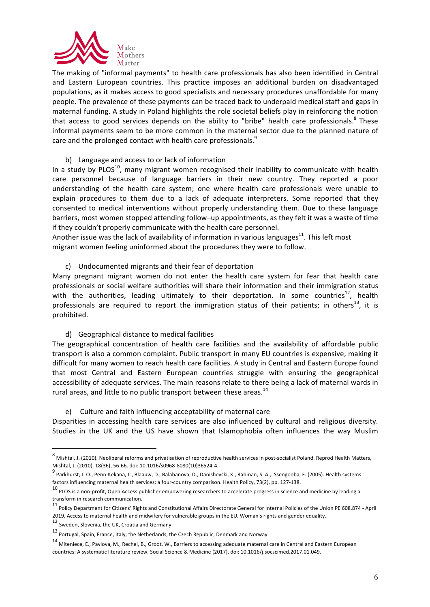

The making of "informal payments" to health care professionals has also been identified in Central and Eastern European countries. This practice imposes an additional burden on disadvantaged populations, as it makes access to good specialists and necessary procedures unaffordable for many people. The prevalence of these payments can be traced back to underpaid medical staff and gaps in maternal funding. A study in Poland highlights the role societal beliefs play in reinforcing the notion that access to good services depends on the ability to "bribe" health care professionals.<sup>8</sup> These informal payments seem to be more common in the maternal sector due to the planned nature of care and the prolonged contact with health care professionals.<sup>9</sup>

#### b) Language and access to or lack of information

In a study by PLOS<sup>10</sup>, many migrant women recognised their inability to communicate with health care personnel because of language barriers in their new country. They reported a poor understanding of the health care system; one where health care professionals were unable to explain procedures to them due to a lack of adequate interpreters. Some reported that they consented to medical interventions without properly understanding them. Due to these language barriers, most women stopped attending follow–up appointments, as they felt it was a waste of time if they couldn't properly communicate with the health care personnel.

Another issue was the lack of availability of information in various languages<sup>11</sup>. This left most migrant women feeling uninformed about the procedures they were to follow.

c) Undocumented migrants and their fear of deportation

Many pregnant migrant women do not enter the health care system for fear that health care professionals or social welfare authorities will share their information and their immigration status with the authorities, leading ultimately to their deportation. In some countries<sup>12</sup>, health professionals are required to report the immigration status of their patients; in others<sup>13</sup>, it is prohibited. 

#### d) Geographical distance to medical facilities

The geographical concentration of health care facilities and the availability of affordable public transport is also a common complaint. Public transport in many EU countries is expensive, making it difficult for many women to reach health care facilities. A study in Central and Eastern Europe found that most Central and Eastern European countries struggle with ensuring the geographical accessibility of adequate services. The main reasons relate to there being a lack of maternal wards in rural areas, and little to no public transport between these areas. $^{14}$ 

#### e) Culture and faith influencing acceptability of maternal care

Disparities in accessing health care services are also influenced by cultural and religious diversity. Studies in the UK and the US have shown that Islamophobia often influences the way Muslim

<u> 1989 - Jan Samuel Barbara, margaret e</u>

 $^8$  Mishtal, J. (2010). Neoliberal reforms and privatisation of reproductive health services in post-socialist Poland. Reprod Health Matters, Mishtal, J. (2010). 18(36), 56-66. doi: 10.1016/s0968-8080(10)36524-4.

<sup>9</sup> Parkhurst, J. O., Penn-Kekana, L., Blaauw, D., Balabanova, D., Danishevski, K., Rahman, S. A.,. Ssengooba, F. (2005). Health systems factors influencing maternal health services: a four-country comparison. Health Policy, 73(2), pp. 127-138.

 $10$  PLOS is a non-profit, Open Access publisher empowering researchers to accelerate progress in science and medicine by leading a transform in research communication.

<sup>&</sup>lt;sup>11</sup> Policy Department for Citizens' Rights and Constitutional Affairs Directorate General for Internal Policies of the Union PE 608.874 - April 2019, Access to maternal health and midwifery for vulnerable groups in the EU, Woman's rights and gender equality.

<sup>12</sup> Sweden. Slovenia, the UK, Croatia and Germany

 $13$  Portugal. Spain, France, Italy, the Netherlands, the Czech Republic, Denmark and Norway.

<sup>14</sup> Miteniece, E., Pavlova, M., Rechel, B., Groot, W., Barriers to accessing adequate maternal care in Central and Eastern European countries: A systematic literature review, Social Science & Medicine (2017), doi: 10.1016/j.socscimed.2017.01.049.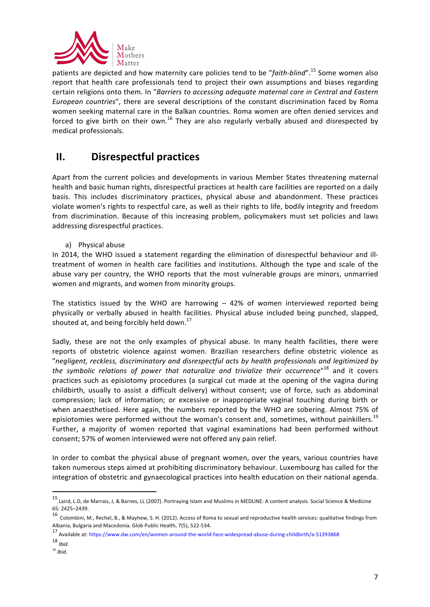

patients are depicted and how maternity care policies tend to be "faith-blind".<sup>15</sup> Some women also report that health care professionals tend to project their own assumptions and biases regarding certain religions onto them. In "*Barriers to accessing adequate maternal care in Central and Eastern European countries*", there are several descriptions of the constant discrimination faced by Roma women seeking maternal care in the Balkan countries. Roma women are often denied services and forced to give birth on their own.<sup>16</sup> They are also regularly verbally abused and disrespected by medical professionals. 

### **II.** Disrespectful practices

Apart from the current policies and developments in various Member States threatening maternal health and basic human rights, disrespectful practices at health care facilities are reported on a daily basis. This includes discriminatory practices, physical abuse and abandonment. These practices violate women's rights to respectful care, as well as their rights to life, bodily integrity and freedom from discrimination. Because of this increasing problem, policymakers must set policies and laws addressing disrespectful practices.

a) Physical abuse

In 2014, the WHO issued a statement regarding the elimination of disrespectful behaviour and illtreatment of women in health care facilities and institutions. Although the type and scale of the abuse vary per country, the WHO reports that the most vulnerable groups are minors, unmarried women and migrants, and women from minority groups.

The statistics issued by the WHO are harrowing  $-42%$  of women interviewed reported being physically or verbally abused in health facilities. Physical abuse included being punched, slapped, shouted at, and being forcibly held down.<sup>17</sup>

Sadly, these are not the only examples of physical abuse. In many health facilities, there were reports of obstetric violence against women. Brazilian researchers define obstetric violence as "negligent, reckless, discriminatory and disrespectful acts by health professionals and legitimized by the symbolic relations of power that naturalize and trivialize their occurrence"<sup>18</sup> and it covers practices such as episiotomy procedures (a surgical cut made at the opening of the vagina during childbirth, usually to assist a difficult delivery) without consent; use of force, such as abdominal compression; lack of information; or excessive or inappropriate vaginal touching during birth or when anaesthetised. Here again, the numbers reported by the WHO are sobering. Almost 75% of episiotomies were performed without the woman's consent and, sometimes, without painkillers.<sup>19</sup> Further, a majority of women reported that vaginal examinations had been performed without consent; 57% of women interviewed were not offered any pain relief.

In order to combat the physical abuse of pregnant women, over the years, various countries have taken numerous steps aimed at prohibiting discriminatory behaviour. Luxembourg has called for the integration of obstetric and gynaecological practices into health education on their national agenda.

 

<sup>&</sup>lt;sup>15</sup> Laird, L.D, de Marrais, J, & Barnes, LL (2007). Portraying Islam and Muslims in MEDLINE: A content analysis. Social Science & Medicine 65: 2425–2439.

<sup>16</sup> Colombini, M., Rechel, B., & Mayhew, S. H. (2012). Access of Roma to sexual and reproductive health services: qualitative findings from Albania, Bulgaria and Macedonia. Glob Public Health, 7(5), 522-534.

<sup>17</sup> Available at: https://www.dw.com/en/women-around-the-world-face-widespread-abuse-during-childbirth/a-51393868

<sup>18</sup> *Ibid*.

<sup>19</sup> *Ibid*.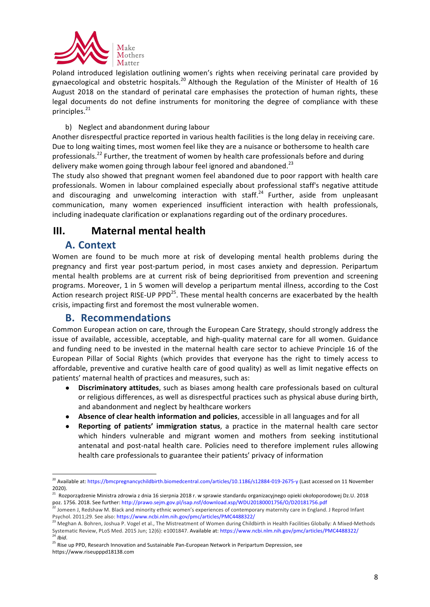

Poland introduced legislation outlining women's rights when receiving perinatal care provided by gynaecological and obstetric hospitals.<sup>20</sup> Although the Regulation of the Minister of Health of 16 August 2018 on the standard of perinatal care emphasises the protection of human rights, these legal documents do not define instruments for monitoring the degree of compliance with these principles.<sup>21</sup>

#### b) Neglect and abandonment during labour

Another disrespectful practice reported in various health facilities is the long delay in receiving care. Due to long waiting times, most women feel like they are a nuisance or bothersome to health care professionals.<sup>22</sup> Further, the treatment of women by health care professionals before and during delivery make women going through labour feel ignored and abandoned.<sup>23</sup>

The study also showed that pregnant women feel abandoned due to poor rapport with health care professionals. Women in labour complained especially about professional staff's negative attitude and discouraging and unwelcoming interaction with staff.<sup>24</sup> Further, aside from unpleasant communication, many women experienced insufficient interaction with health professionals, including inadequate clarification or explanations regarding out of the ordinary procedures.

### **III.** Maternal mental health

#### **A. Context**

Women are found to be much more at risk of developing mental health problems during the pregnancy and first year post-partum period, in most cases anxiety and depression. Peripartum mental health problems are at current risk of being deprioritised from prevention and screening programs. Moreover, 1 in 5 women will develop a peripartum mental illness, according to the Cost Action research project RISE-UP PPD<sup>25</sup>. These mental health concerns are exacerbated by the health crisis, impacting first and foremost the most vulnerable women.

#### **B. Recommendations**

<u> 1989 - Johann Stein, fransk politiker (d. 1989)</u>

Common European action on care, through the European Care Strategy, should strongly address the issue of available, accessible, acceptable, and high-quality maternal care for all women. Guidance and funding need to be invested in the maternal health care sector to achieve Principle 16 of the European Pillar of Social Rights (which provides that everyone has the right to timely access to affordable, preventive and curative health care of good quality) as well as limit negative effects on patients' maternal health of practices and measures, such as:

- **Discriminatory attitudes**, such as biases among health care professionals based on cultural or religious differences, as well as disrespectful practices such as physical abuse during birth, and abandonment and neglect by healthcare workers
- Absence of clear health information and policies, accessible in all languages and for all
- **• Reporting of patients' immigration status**, a practice in the maternal health care sector which hinders vulnerable and migrant women and mothers from seeking institutional antenatal and post-natal health care. Policies need to therefore implement rules allowing health care professionals to guarantee their patients' privacy of information

<sup>&</sup>lt;sup>20</sup> Available at: https://bmcpregnancychildbirth.biomedcentral.com/articles/10.1186/s12884-019-2675-y (Last accessed on 11 November 2020).

<sup>&</sup>lt;sup>21</sup> Rozporządzenie Ministra zdrowia z dnia 16 sierpnia 2018 r. w sprawie standardu organizacyjnego opieki okołoporodowej Dz.U. 2018 poz. 1756. 2018. See further: http://prawo.sejm.gov.pl/isap.nsf/download.xsp/WDU20180001756/O/D20181756.pdf

<sup>&</sup>lt;sup>22</sup> Jomeen J, Redshaw M. Black and minority ethnic women's experiences of contemporary maternity care in England. J Reprod Infant Psychol. 2011;29. See also: https://www.ncbi.nlm.nih.gov/pmc/articles/PMC4488322/

<sup>&</sup>lt;sup>23</sup> Meghan A. Bohren, Joshua P. Vogel et al., The Mistreatment of Women during Childbirth in Health Facilities Globally: A Mixed-Methods Systematic Review, PLoS Med. 2015 Jun; 12(6): e1001847. Available at: https://www.ncbi.nlm.nih.gov/pmc/articles/PMC4488322/ <sup>24</sup> *Ibid*.

<sup>25</sup> Rise up PPD, Research Innovation and Sustainable Pan-European Network in Peripartum Depression, see https://www.riseupppd18138.com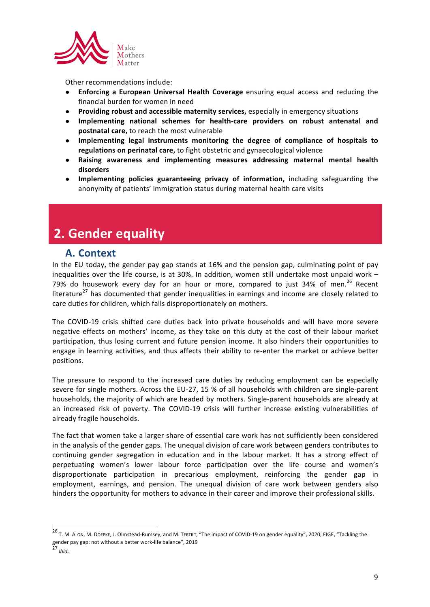

Other recommendations include:

- **• Enforcing a European Universal Health Coverage** ensuring equal access and reducing the financial burden for women in need
- **•** Providing robust and accessible maternity services, especially in emergency situations
- **•** Implementing national schemes for health-care providers on robust antenatal and **postnatal care,** to reach the most vulnerable
- Implementing legal instruments monitoring the degree of compliance of hospitals to regulations on perinatal care, to fight obstetric and gynaecological violence
- Raising awareness and implementing measures addressing maternal mental health **disorders**
- **Implementing policies guaranteeing privacy of information,** including safeguarding the anonymity of patients' immigration status during maternal health care visits

### **2. Gender equality**

#### **A. Context**

In the EU today, the gender pay gap stands at 16% and the pension gap, culminating point of pay inequalities over the life course, is at 30%. In addition, women still undertake most unpaid work  $-$ 79% do housework every day for an hour or more, compared to just 34% of men.<sup>26</sup> Recent literature<sup>27</sup> has documented that gender inequalities in earnings and income are closely related to care duties for children, which falls disproportionately on mothers.

The COVID-19 crisis shifted care duties back into private households and will have more severe negative effects on mothers' income, as they take on this duty at the cost of their labour market participation, thus losing current and future pension income. It also hinders their opportunities to engage in learning activities, and thus affects their ability to re-enter the market or achieve better positions.

The pressure to respond to the increased care duties by reducing employment can be especially severe for single mothers. Across the EU-27, 15 % of all households with children are single-parent households, the majority of which are headed by mothers. Single-parent households are already at an increased risk of poverty. The COVID-19 crisis will further increase existing vulnerabilities of already fragile households.

The fact that women take a larger share of essential care work has not sufficiently been considered in the analysis of the gender gaps. The unequal division of care work between genders contributes to continuing gender segregation in education and in the labour market. It has a strong effect of perpetuating women's lower labour force participation over the life course and women's disproportionate participation in precarious employment, reinforcing the gender gap in employment, earnings, and pension. The unequal division of care work between genders also hinders the opportunity for mothers to advance in their career and improve their professional skills.

<sup>&</sup>lt;sup>26</sup> T. M. ALON, M. DOEPKE, J. Olmstead-Rumsey, and M. TERTILT, "The impact of COVID-19 on gender equality", 2020; EIGE, "Tackling the gender pay gap: not without a better work-life balance", 2019

<sup>27</sup> *Ibid*.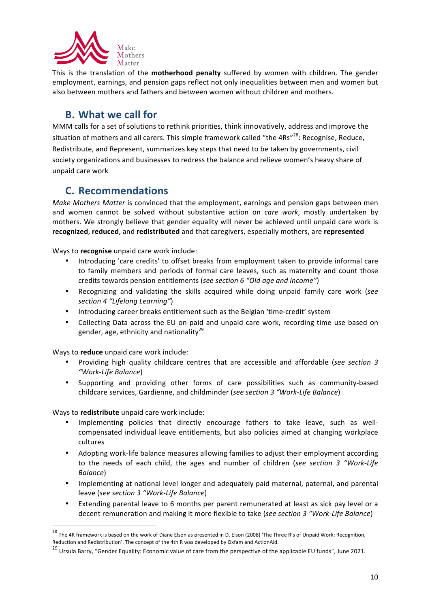

This is the translation of the **motherhood penalty** suffered by women with children. The gender employment, earnings, and pension gaps reflect not only inequalities between men and women but also between mothers and fathers and between women without children and mothers.

### **B.** What we call for

MMM calls for a set of solutions to rethink priorities, think innovatively, address and improve the situation of mothers and all carers. This simple framework called "the 4Rs"<sup>28</sup>: Recognise, Reduce, Redistribute, and Represent, summarizes key steps that need to be taken by governments, civil society organizations and businesses to redress the balance and relieve women's heavy share of unpaid care work

#### **C. Recommendations**

*Make Mothers Matter* is convinced that the employment, earnings and pension gaps between men and women cannot be solved without substantive action on *care work*, mostly undertaken by mothers. We strongly believe that gender equality will never be achieved until unpaid care work is **recognized**, **reduced**, and **redistributed** and that caregivers, especially mothers, are **represented**

Ways to **recognise** unpaid care work include:

- Introducing 'care credits' to offset breaks from employment taken to provide informal care to family members and periods of formal care leaves, such as maternity and count those credits towards pension entitlements (see section 6 "Old age and income")
- Recognizing and validating the skills acquired while doing unpaid family care work (see *section 4 "Lifelong Learning"*)
- Introducing career breaks entitlement such as the Belgian 'time-credit' system
- Collecting Data across the EU on paid and unpaid care work, recording time use based on gender, age, ethnicity and nationality<sup>29</sup>

Ways to **reduce** unpaid care work include:

- Providing high quality childcare centres that are accessible and affordable (*see section 3 "Work-Life Balance*)
- Supporting and providing other forms of care possibilities such as community-based childcare services, Gardienne, and childminder (see section 3 "Work-Life Balance)

Ways to **redistribute** unpaid care work include:

- Implementing policies that directly encourage fathers to take leave, such as wellcompensated individual leave entitlements, but also policies aimed at changing workplace cultures
- Adopting work-life balance measures allowing families to adjust their employment according to the needs of each child, the ages and number of children (*see section 3 "Work-Life Balance*)
- Implementing at national level longer and adequately paid maternal, paternal, and parental leave (see section 3 "Work-Life Balance)
- Extending parental leave to 6 months per parent remunerated at least as sick pay level or a decent remuneration and making it more flexible to take (see section 3 "Work-Life Balance)

 $^{28}$  The 4R framework is based on the work of Diane Elson as presented in D. Elson (2008) 'The Three R's of Unpaid Work: Recognition, Reduction and Redistribution'. The concept of the 4th R was developed by Oxfam and ActionAid.

<sup>&</sup>lt;sup>29</sup> Ursula Barry. "Gender Equality: Economic value of care from the perspective of the applicable EU funds", June 2021.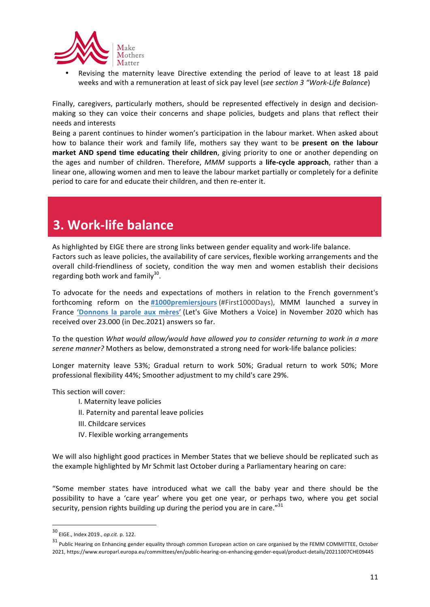

Revising the maternity leave Directive extending the period of leave to at least 18 paid weeks and with a remuneration at least of sick pay level (see section 3 "Work-Life Balance)

Finally, caregivers, particularly mothers, should be represented effectively in design and decisionmaking so they can voice their concerns and shape policies, budgets and plans that reflect their needs and interests

Being a parent continues to hinder women's participation in the labour market. When asked about how to balance their work and family life, mothers say they want to be **present on the labour market AND spend time educating their children**, giving priority to one or another depending on the ages and number of children. Therefore, *MMM* supports a life-cycle approach, rather than a linear one, allowing women and men to leave the labour market partially or completely for a definite period to care for and educate their children, and then re-enter it.

## **3. Work-life balance**

As highlighted by EIGE there are strong links between gender equality and work-life balance. Factors such as leave policies, the availability of care services, flexible working arrangements and the overall child-friendliness of society, condition the way men and women establish their decisions regarding both work and  $family^{30}$ .

To advocate for the needs and expectations of mothers in relation to the French government's forthcoming reform on the #1000premiersjours (#First1000Days), MMM launched a survey in France 'Donnons la parole aux mères' (Let's Give Mothers a Voice) in November 2020 which has received over 23.000 (in Dec.2021) answers so far.

To the question *What would allow/would have allowed you to consider returning to work in a more* serene manner? Mothers as below, demonstrated a strong need for work-life balance policies:

Longer maternity leave 53%; Gradual return to work 50%; Gradual return to work 50%; More professional flexibility 44%; Smoother adjustment to my child's care 29%.

This section will cover:

- I. Maternity leave policies
- II. Paternity and parental leave policies
- III. Childcare services
- IV. Flexible working arrangements

We will also highlight good practices in Member States that we believe should be replicated such as the example highlighted by Mr Schmit last October during a Parliamentary hearing on care:

"Some member states have introduced what we call the baby year and there should be the possibility to have a 'care year' where you get one year, or perhaps two, where you get social security, pension rights building up during the period you are in care."31

<sup>30</sup> EIGE.. Index 2019., *op.cit.* p. 122.

<sup>&</sup>lt;sup>31</sup> Public Hearing on Enhancing gender equality through common European action on care organised by the FEMM COMMITTEE, October 2021, https://www.europarl.europa.eu/committees/en/public-hearing-on-enhancing-gender-equal/product-details/20211007CHE09445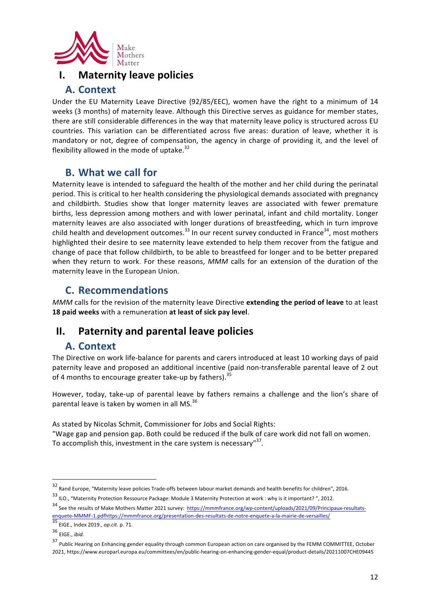

#### **I.** Maternity leave policies

#### **A. Context**

Under the EU Maternity Leave Directive (92/85/EEC), women have the right to a minimum of 14 weeks (3 months) of maternity leave. Although this Directive serves as guidance for member states, there are still considerable differences in the way that maternity leave policy is structured across EU countries. This variation can be differentiated across five areas: duration of leave, whether it is mandatory or not, degree of compensation, the agency in charge of providing it, and the level of flexibility allowed in the mode of uptake.<sup>32</sup>

#### **B.** What we call for

Maternity leave is intended to safeguard the health of the mother and her child during the perinatal period. This is critical to her health considering the physiological demands associated with pregnancy and childbirth. Studies show that longer maternity leaves are associated with fewer premature births, less depression among mothers and with lower perinatal, infant and child mortality. Longer maternity leaves are also associated with longer durations of breastfeeding, which in turn improve child health and development outcomes.<sup>33</sup> In our recent survey conducted in France<sup>34</sup>, most mothers highlighted their desire to see maternity leave extended to help them recover from the fatigue and change of pace that follow childbirth, to be able to breastfeed for longer and to be better prepared when they return to work. For these reasons, *MMM* calls for an extension of the duration of the maternity leave in the European Union.

### **C. Recommendations**

*MMM* calls for the revision of the maternity leave Directive extending the period of leave to at least **18 paid weeks** with a remuneration at least of sick pay level.

### **II.** Paternity and parental leave policies

#### **A. Context**

<u> 1989 - Johann Stein, fransk politiker (d. 1989)</u>

The Directive on work life-balance for parents and carers introduced at least 10 working days of paid paternity leave and proposed an additional incentive (paid non-transferable parental leave of 2 out of 4 months to encourage greater take-up by fathers).<sup>35</sup>

However, today, take-up of parental leave by fathers remains a challenge and the lion's share of parental leave is taken by women in all MS. $^{36}$ 

As stated by Nicolas Schmit, Commissioner for Jobs and Social Rights:

"Wage gap and pension gap. Both could be reduced if the bulk of care work did not fall on women. To accomplish this, investment in the care system is necessary"<sup>37</sup>.

 $32$  Rand Europe, "Maternity leave policies Trade-offs between labour market demands and health benefits for children", 2016.

 $33$  ILO., "Maternity Protection Ressource Package: Module 3 Maternity Protection at work : why is it important?", 2012. 34 See the results of Make Mothers Matter 2021 survey: https://mmmfrance.org/wp-content/uploads/2021/09/Principaux-resultats-

enquete-MMMF-1.pdfhttps://mmmfrance.org/presentation-des-resultats-de-notre-enquete-a-la-mairie-de-versailles/ 35 EIGE., Index 2019., *op.cit.* p. 71.

<sup>36</sup> EIGE., *ibid.* 

<sup>37</sup> Public Hearing on Enhancing gender equality through common European action on care organised by the FEMM COMMITTEE, October 2021, https://www.europarl.europa.eu/committees/en/public-hearing-on-enhancing-gender-equal/product-details/20211007CHE09445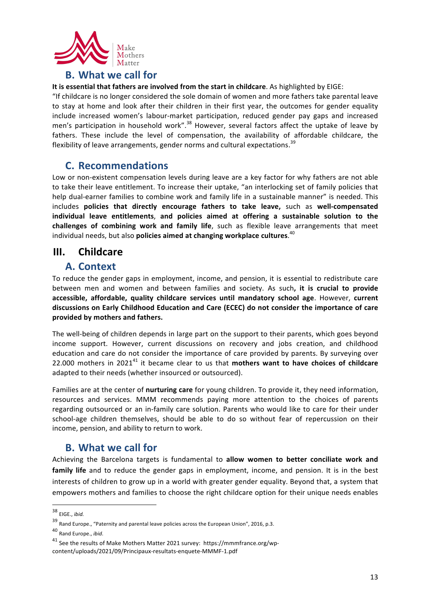

#### **B.** What we call for

**It is essential that fathers are involved from the start in childcare**. As highlighted by EIGE:

"If childcare is no longer considered the sole domain of women and more fathers take parental leave to stay at home and look after their children in their first year, the outcomes for gender equality include increased women's labour-market participation, reduced gender pay gaps and increased men's participation in household work".<sup>38</sup> However, several factors affect the uptake of leave by fathers. These include the level of compensation, the availability of affordable childcare, the flexibility of leave arrangements, gender norms and cultural expectations.  $^{39}$ 

#### **C. Recommendations**

Low or non-existent compensation levels during leave are a key factor for why fathers are not able to take their leave entitlement. To increase their uptake, "an interlocking set of family policies that help dual-earner families to combine work and family life in a sustainable manner" is needed. This includes policies that directly encourage fathers to take leave, such as well-compensated **individual leave entitlements**, **and policies aimed at offering a sustainable solution to the challenges of combining work and family life**, such as flexible leave arrangements that meet individual needs, but also **policies aimed at changing workplace cultures**.<sup>40</sup>

#### **III.** Childcare

#### **A. Context**

To reduce the gender gaps in employment, income, and pension, it is essential to redistribute care between men and women and between families and society. As such, it is crucial to provide accessible, affordable, quality childcare services until mandatory school age. However, current discussions on Early Childhood Education and Care (ECEC) do not consider the importance of care **provided by mothers and fathers.**

The well-being of children depends in large part on the support to their parents, which goes beyond income support. However, current discussions on recovery and jobs creation, and childhood education and care do not consider the importance of care provided by parents. By surveying over 22.000 mothers in 2021<sup>41</sup> it became clear to us that **mothers want to have choices of childcare** adapted to their needs (whether insourced or outsourced).

Families are at the center of **nurturing care** for young children. To provide it, they need information, resources and services. MMM recommends paying more attention to the choices of parents regarding outsourced or an in-family care solution. Parents who would like to care for their under school-age children themselves, should be able to do so without fear of repercussion on their income, pension, and ability to return to work.

### **B.** What we call for

<u> 1989 - Johann Stein, fransk politiker (d. 1989)</u>

Achieving the Barcelona targets is fundamental to **allow women to better conciliate work and family life** and to reduce the gender gaps in employment, income, and pension. It is in the best interests of children to grow up in a world with greater gender equality. Beyond that, a system that empowers mothers and families to choose the right childcare option for their unique needs enables

<sup>38</sup> EIGE., *ibid.* 

 $39$  Rand Europe., "Paternity and parental leave policies across the European Union", 2016, p.3.

<sup>40</sup> Rand Europe., *ibid*.

 $41$  See the results of Make Mothers Matter 2021 survey: https://mmmfrance.org/wpcontent/uploads/2021/09/Principaux-resultats-enquete-MMMF-1.pdf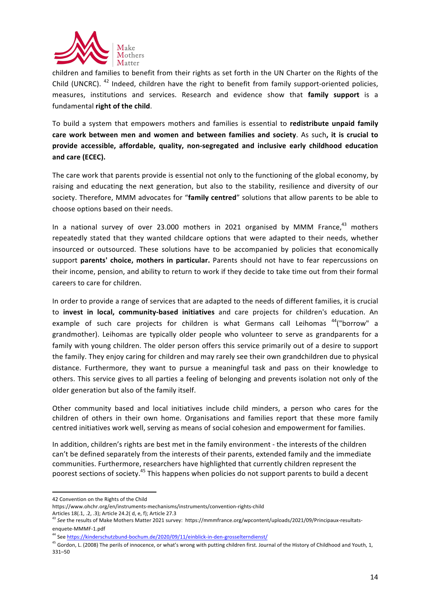

children and families to benefit from their rights as set forth in the UN Charter on the Rights of the Child (UNCRC).  $42$  Indeed, children have the right to benefit from family support-oriented policies, measures, institutions and services. Research and evidence show that **family support** is a fundamental **right of the child**.

To build a system that empowers mothers and families is essential to **redistribute unpaid family** care work between men and women and between families and society. As such, it is crucial to provide accessible, affordable, quality, non-segregated and inclusive early childhood education and care (ECEC).

The care work that parents provide is essential not only to the functioning of the global economy, by raising and educating the next generation, but also to the stability, resilience and diversity of our society. Therefore, MMM advocates for "family centred" solutions that allow parents to be able to choose options based on their needs.

In a national survey of over 23.000 mothers in 2021 organised by MMM France, $^{43}$  mothers repeatedly stated that they wanted childcare options that were adapted to their needs, whether insourced or outsourced. These solutions have to be accompanied by policies that economically support parents' choice, mothers in particular. Parents should not have to fear repercussions on their income, pension, and ability to return to work if they decide to take time out from their formal careers to care for children.

In order to provide a range of services that are adapted to the needs of different families, it is crucial to **invest in local, community-based initiatives** and care projects for children's education. An example of such care projects for children is what Germans call Leihomas <sup>44</sup>("borrow" a grandmother). Leihomas are typically older people who volunteer to serve as grandparents for a family with young children. The older person offers this service primarily out of a desire to support the family. They enjoy caring for children and may rarely see their own grandchildren due to physical distance. Furthermore, they want to pursue a meaningful task and pass on their knowledge to others. This service gives to all parties a feeling of belonging and prevents isolation not only of the older generation but also of the family itself.

Other community based and local initiatives include child minders, a person who cares for the children of others in their own home. Organisations and families report that these more family centred initiatives work well, serving as means of social cohesion and empowerment for families.

In addition, children's rights are best met in the family environment - the interests of the children can't be defined separately from the interests of their parents, extended family and the immediate communities. Furthermore, researchers have highlighted that currently children represent the poorest sections of society.<sup>45</sup> This happens when policies do not support parents to build a decent

<sup>&</sup>lt;u> 1989 - Johann Stein, fransk politiker (d. 1989)</u> 42 Convention on the Rights of the Child

https://www.ohchr.org/en/instruments-mechanisms/instruments/convention-rights-child Articles 18(.1, .2, .3); Article 24.2( d, e, f); Article 27.3

<sup>&</sup>lt;sup>43</sup> See the results of Make Mothers Matter 2021 survey: https://mmmfrance.org/wpcontent/uploads/2021/09/Principaux-resultatsenquete-MMMF-1.pdf

<sup>&</sup>lt;sup>44</sup> See https://kinderschutzbund-bochum.de/2020/09/11/einblick-in-den-grosselterndienst/

<sup>&</sup>lt;sup>45</sup> Gordon, L. (2008) The perils of innocence, or what's wrong with putting children first. Journal of the History of Childhood and Youth, 1, 331–50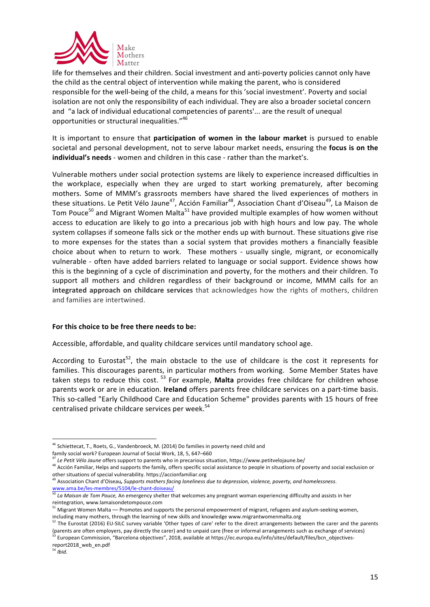

life for themselves and their children. Social investment and anti-poverty policies cannot only have the child as the central object of intervention while making the parent, who is considered responsible for the well-being of the child, a means for this 'social investment'. Poverty and social isolation are not only the responsibility of each individual. They are also a broader societal concern and "a lack of individual educational competencies of parents'... are the result of unequal opportunities or structural inequalities."<sup>46</sup>

It is important to ensure that *participation* of women in the labour market is pursued to enable societal and personal development, not to serve labour market needs, ensuring the **focus is on the individual's needs** - women and children in this case - rather than the market's.

Vulnerable mothers under social protection systems are likely to experience increased difficulties in the workplace, especially when they are urged to start working prematurely, after becoming mothers. Some of MMM's grassroots members have shared the lived experiences of mothers in these situations. Le Petit Vélo Jaune<sup>47</sup>, Acción Familiar<sup>48</sup>, Association Chant d'Oiseau<sup>49</sup>, La Maison de Tom Pouce<sup>50</sup> and Migrant Women Malta<sup>51</sup> have provided multiple examples of how women without access to education are likely to go into a precarious job with high hours and low pay. The whole system collapses if someone falls sick or the mother ends up with burnout. These situations give rise to more expenses for the states than a social system that provides mothers a financially feasible choice about when to return to work. These mothers - usually single, migrant, or economically vulnerable - often have added barriers related to language or social support. Evidence shows how this is the beginning of a cycle of discrimination and poverty, for the mothers and their children. To support all mothers and children regardless of their background or income, MMM calls for an **integrated approach on childcare services** that acknowledges how the rights of mothers, children and families are intertwined.

#### For this choice to be free there needs to be:

Accessible, affordable, and quality childcare services until mandatory school age.

According to Eurostat<sup>52</sup>, the main obstacle to the use of childcare is the cost it represents for families. This discourages parents, in particular mothers from working. Some Member States have taken steps to reduce this cost.<sup>53</sup> For example, Malta provides free childcare for children whose parents work or are in education. Ireland offers parents free childcare services on a part-time basis. This so-called "Early Childhood Care and Education Scheme" provides parents with 15 hours of free centralised private childcare services per week.<sup>54</sup>

 $46$  Schiettecat, T., Roets, G., Vandenbroeck, M. (2014) Do families in poverty need child and

family social work? European Journal of Social Work, 18, 5, 647-660

<sup>&</sup>lt;sup>47</sup> Le Petit Vélo Jaune offers support to parents who in precarious situation, https://www.petitvelojaune.be/

 $48$  Acción Familiar, Helps and supports the family, offers specific social assistance to people in situations of poverty and social exclusion or other situations of special vulnerability. https://accionfamiliar.org<br><sup>49</sup> Association Chant d'Oiseau**,** *Supports mothers facing loneliness due to depression, violence, poverty, and homelessness*.

www.ama.be/les-membres/5104/le-chant-doiseau/ 

**EXAMALIRAM CONDUM CONDUM CONDUM CONDUM**<br><sup>50</sup> La Maison de Tom Pouce, An emergency shelter that welcomes any pregnant woman experiencing difficulty and assists in her reintegration, www.lamaisondetompouce.com

<sup>&</sup>lt;sup>51</sup> Migrant Women Malta — Promotes and supports the personal empowerment of migrant, refugees and asylum-seeking women, including many mothers, through the learning of new skills and knowledge www.migrantwomenmalta.org

<sup>52</sup> The Eurostat (2016) EU-SILC survey variable 'Other types of care' refer to the direct arrangements between the carer and the parents (parents are often employers, pay directly the carer) and to unpaid care (free or informal arrangements such as exchange of services)

 $^{53}$  European Commission, "Barcelona objectives", 2018, available at https://ec.europa.eu/info/sites/default/files/bcn\_objectivesreport2018\_web\_en.pdf <sup>54</sup> *Ibid*.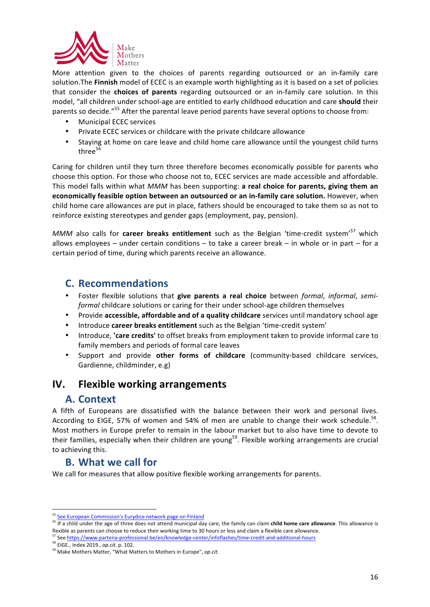

More attention given to the choices of parents regarding outsourced or an in-family care solution. The **Finnish** model of ECEC is an example worth highlighting as it is based on a set of policies that consider the **choices of parents** regarding outsourced or an in-family care solution. In this model, "all children under school-age are entitled to early childhood education and care should their parents so decide."<sup>55</sup> After the parental leave period parents have several options to choose from:

- Municipal ECEC services
- Private ECEC services or childcare with the private childcare allowance
- Staying at home on care leave and child home care allowance until the youngest child turns three $56$

Caring for children until they turn three therefore becomes economically possible for parents who choose this option. For those who choose not to, ECEC services are made accessible and affordable. This model falls within what *MMM* has been supporting: **a real choice for parents, giving them an economically feasible option between an outsourced or an in-family care solution.** However, when child home care allowances are put in place, fathers should be encouraged to take them so as not to reinforce existing stereotypes and gender gaps (employment, pay, pension).

*MMM* also calls for **career breaks entitlement** such as the Belgian 'time-credit system'<sup>57</sup> which allows employees – under certain conditions – to take a career break – in whole or in part – for a certain period of time, during which parents receive an allowance.

#### **C. Recommendations**

- Foster flexible solutions that give parents a real choice between *formal, informal, semiformal* childcare solutions or caring for their under school-age children themselves
- Provide **accessible, affordable and of a quality childcare** services until mandatory school age
- Introduce **career breaks entitlement** such as the Belgian 'time-credit system'
- Introduce, **'care credits'** to offset breaks from employment taken to provide informal care to family members and periods of formal care leaves
- Support and provide other forms of childcare (community-based childcare services, Gardienne, childminder, e.g)

#### **IV.** Flexible working arrangements

#### **A. Context**

A fifth of Europeans are dissatisfied with the balance between their work and personal lives. According to EIGE, 57% of women and 54% of men are unable to change their work schedule.<sup>58</sup>. Most mothers in Europe prefer to remain in the labour market but to also have time to devote to their families, especially when their children are young<sup>59</sup>. Flexible working arrangements are crucial to achieving this.

#### **B.** What we call for

<u> 1989 - Johann Stein, fransk politiker (d. 1989)</u>

We call for measures that allow positive flexible working arrangements for parents.

58 EIGE., Index 2019., *op.cit.* p. 102.

<sup>&</sup>lt;sup>55</sup> See European Commission's Eurydice network page on Finland

<sup>56</sup> If a child under the age of three does not attend municipal day care, the family can claim **child home care allowance**. This allowance is flexible as parents can choose to reduce their working time to 30 hours or less and claim a flexible care allowance.

<sup>57</sup> See https://www.partena-professional.be/en/knowledge-center/infoflashes/time-credit-and-additional-hours

<sup>&</sup>lt;sup>59</sup> Make Mothers Matter, "What Matters to Mothers in Europe", op.cit.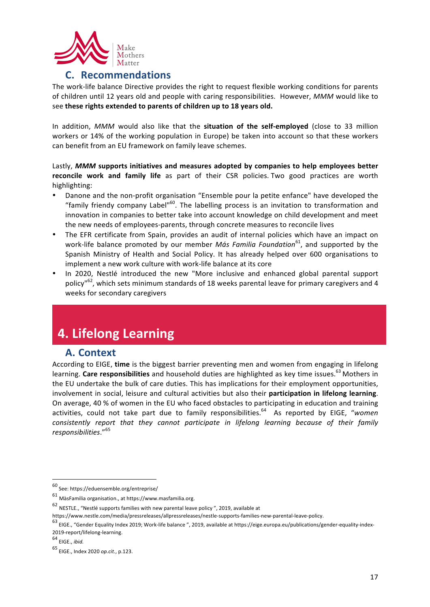

#### **C. Recommendations**

The work-life balance Directive provides the right to request flexible working conditions for parents of children until 12 years old and people with caring responsibilities. However, *MMM* would like to see these rights extended to parents of children up to 18 years old.

In addition, MMM would also like that the situation of the self-employed (close to 33 million workers or 14% of the working population in Europe) be taken into account so that these workers can benefit from an EU framework on family leave schemes.

Lastly, MMM supports initiatives and measures adopted by companies to help employees better **reconcile work and family life** as part of their CSR policies. Two good practices are worth highlighting:

- Danone and the non-profit organisation "Ensemble pour la petite enfance" have developed the "family friendy company Label"<sup>60</sup>. The labelling process is an invitation to transformation and innovation in companies to better take into account knowledge on child development and meet the new needs of employees-parents, through concrete measures to reconcile lives
- The EFR certificate from Spain, provides an audit of internal policies which have an impact on work-life balance promoted by our member *Más Familia Foundation*<sup>61</sup>, and supported by the Spanish Ministry of Health and Social Policy. It has already helped over 600 organisations to implement a new work culture with work-life balance at its core
- In 2020, Nestlé introduced the new "More inclusive and enhanced global parental support policy"<sup>62</sup>, which sets minimum standards of 18 weeks parental leave for primary caregivers and 4 weeks for secondary caregivers

### **4. Lifelong Learning**

#### **A. Context**

According to EIGE, time is the biggest barrier preventing men and women from engaging in lifelong learning. Care responsibilities and household duties are highlighted as key time issues.<sup>63</sup> Mothers in the EU undertake the bulk of care duties. This has implications for their employment opportunities, involvement in social, leisure and cultural activities but also their participation in lifelong learning. On average, 40 % of women in the EU who faced obstacles to participating in education and training activities, could not take part due to family responsibilities.<sup>64</sup> As reported by EIGE, "women *consistently report that they cannot participate in lifelong learning because of their family responsibilities*."<sup>65</sup>

<sup>&</sup>lt;u> 1989 - Johann Stein, fransk politiker (d. 1989)</u> <sup>60</sup> See: https://eduensemble.org/entreprise/

 $61$  MàsFamilia organisation., at https://www.masfamilia.org.

 $62$  NESTLE., "Nestlé supports families with new parental leave policy ", 2019, available at

https://www.nestle.com/media/pressreleases/allpressreleases/nestle-supports-families-new-parental-leave-policy.

<sup>63</sup> EIGE., "Gender Equality Index 2019; Work-life balance ", 2019, available at https://eige.europa.eu/publications/gender-equality-index-2019-report/lifelong-learning.

<sup>64</sup> EIGE., *ibid.* 

<sup>65</sup> EIGE., Index 2020 *op.cit.*, p.123.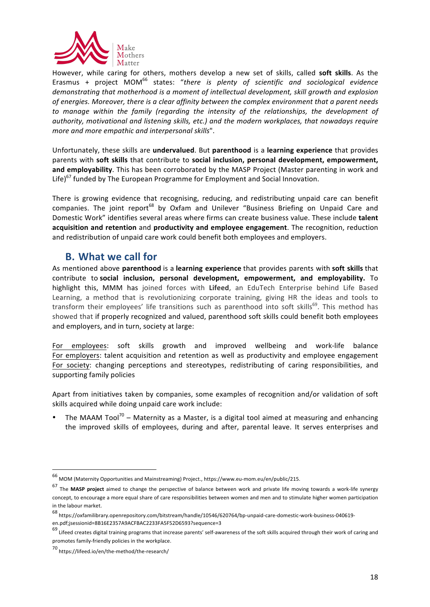

However, while caring for others, mothers develop a new set of skills, called **soft skills**. As the Erasmus + project MOM<sup>66</sup> states: "there is plenty of scientific and sociological evidence demonstrating that motherhood is a moment of intellectual development, skill growth and explosion of energies. Moreover, there is a clear affinity between the complex environment that a parent needs to manage within the family (regarding the intensity of the relationships, the development of authority, motivational and listening skills, etc.) and the modern workplaces, that nowadays require *more and more empathic and interpersonal skills".* 

Unfortunately, these skills are *undervalued*. But parenthood is a learning experience that provides parents with soft skills that contribute to social inclusion, personal development, empowerment, and employability. This has been corroborated by the MASP Project (Master parenting in work and Life) $67$  funded by The European Programme for Employment and Social Innovation.

There is growing evidence that recognising, reducing, and redistributing unpaid care can benefit companies. The joint report<sup>68</sup> by Oxfam and Unilever "Business Briefing on Unpaid Care and Domestic Work" identifies several areas where firms can create business value. These include **talent** acquisition and retention and productivity and employee engagement. The recognition, reduction and redistribution of unpaid care work could benefit both employees and employers.

### **B.** What we call for

As mentioned above **parenthood** is a learning experience that provides parents with soft skills that contribute to **social inclusion, personal development, empowerment, and employability.** To highlight this, MMM has joined forces with Lifeed, an EduTech Enterprise behind Life Based Learning, a method that is revolutionizing corporate training, giving HR the ideas and tools to transform their employees' life transitions such as parenthood into soft skills<sup>69</sup>. This method has showed that if properly recognized and valued, parenthood soft skills could benefit both employees and employers, and in turn, society at large:

For employees: soft skills growth and improved wellbeing and work-life balance For employers: talent acquisition and retention as well as productivity and employee engagement For society: changing perceptions and stereotypes, redistributing of caring responsibilities, and supporting family policies

Apart from initiatives taken by companies, some examples of recognition and/or validation of soft skills acquired while doing unpaid care work include:

The MAAM Tool<sup>70</sup> – Maternity as a Master, is a digital tool aimed at measuring and enhancing the improved skills of employees, during and after, parental leave. It serves enterprises and

 $^{66}$  MOM (Maternity Opportunities and Mainstreaming) Project., https://www.eu-mom.eu/en/public/215.

<sup>&</sup>lt;sup>67</sup> The MASP project aimed to change the perspective of balance between work and private life moving towards a work-life synergy concept, to encourage a more equal share of care responsibilities between women and men and to stimulate higher women participation in the labour market.

<sup>68</sup> https://oxfamilibrary.openrepository.com/bitstream/handle/10546/620764/bp-unpaid-care-domestic-work-business-040619 en.pdf;jsessionid=8B16E2357A9ACFBAC2233FA5F52D6593?sequence=3

<sup>69</sup> Lifeed creates digital training programs that increase parents' self-awareness of the soft skills acquired through their work of caring and promotes family-friendly policies in the workplace.

<sup>70</sup> https://lifeed.io/en/the-method/the-research/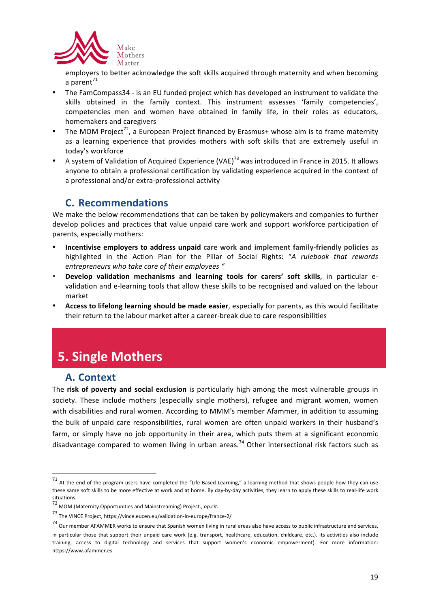

employers to better acknowledge the soft skills acquired through maternity and when becoming a parent $^{71}$ 

- The FamCompass34 is an EU funded project which has developed an instrument to validate the skills obtained in the family context. This instrument assesses 'family competencies', competencies men and women have obtained in family life, in their roles as educators, homemakers and caregivers
- The MOM Project<sup>72</sup>, a European Project financed by Erasmus+ whose aim is to frame maternity as a learning experience that provides mothers with soft skills that are extremely useful in today's workforce
- A system of Validation of Acquired Experience (VAE)<sup>73</sup> was introduced in France in 2015. It allows anyone to obtain a professional certification by validating experience acquired in the context of a professional and/or extra-professional activity

### **C. Recommendations**

We make the below recommendations that can be taken by policymakers and companies to further develop policies and practices that value unpaid care work and support workforce participation of parents, especially mothers:

- **Incentivise employers to address unpaid care work and implement family-friendly policies as** highlighted in the Action Plan for the Pillar of Social Rights: "A rulebook that rewards *entrepreneurs who take care of their employees "*
- **Develop validation mechanisms and learning tools for carers' soft skills**, in particular evalidation and e-learning tools that allow these skills to be recognised and valued on the labour market
- Access to lifelong learning should be made easier, especially for parents, as this would facilitate their return to the labour market after a career-break due to care responsibilities

# **5. Single Mothers**

 

#### **A. Context**

The **risk of poverty and social exclusion** is particularly high among the most vulnerable groups in society. These include mothers (especially single mothers), refugee and migrant women, women with disabilities and rural women. According to MMM's member Afammer, in addition to assuming the bulk of unpaid care responsibilities, rural women are often unpaid workers in their husband's farm, or simply have no job opportunity in their area, which puts them at a significant economic disadvantage compared to women living in urban areas.<sup>74</sup> Other intersectional risk factors such as

<sup>71</sup> At the end of the program users have completed the "Life-Based Learning," a learning method that shows people how they can use these same soft skills to be more effective at work and at home. By day-by-day activities, they learn to apply these skills to real-life work situations.

<sup>72</sup> MOM (Maternity Opportunities and Mainstreaming) Project., *op.cit.* 

 $^{73}$  The VINCE Project, https://vince.eucen.eu/validation-in-europe/france-2/

 $74$  Our member AFAMMER works to ensure that Spanish women living in rural areas also have access to public infrastructure and services, in particular those that support their unpaid care work (e.g. transport, healthcare, education, childcare, etc.). Its activities also include training, access to digital technology and services that support women's economic empowerment). For more information: https://www.afammer.es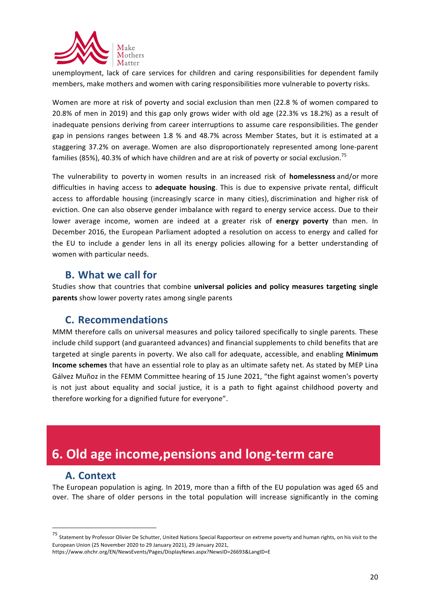

unemployment, lack of care services for children and caring responsibilities for dependent family members, make mothers and women with caring responsibilities more vulnerable to poverty risks.

Women are more at risk of poverty and social exclusion than men (22.8 % of women compared to 20.8% of men in 2019) and this gap only grows wider with old age (22.3% vs 18.2%) as a result of inadequate pensions deriving from career interruptions to assume care responsibilities. The gender gap in pensions ranges between 1.8 % and 48.7% across Member States, but it is estimated at a staggering 37.2% on average. Women are also disproportionately represented among lone-parent families (85%), 40.3% of which have children and are at risk of poverty or social exclusion.<sup>75</sup>

The vulnerability to poverty in women results in an increased risk of **homelessness** and/or more difficulties in having access to **adequate housing**. This is due to expensive private rental, difficult access to affordable housing (increasingly scarce in many cities), discrimination and higher risk of eviction. One can also observe gender imbalance with regard to energy service access. Due to their lower average income, women are indeed at a greater risk of energy poverty than men. In December 2016, the European Parliament adopted a resolution on access to energy and called for the EU to include a gender lens in all its energy policies allowing for a better understanding of women with particular needs.

#### **B.** What we call for

Studies show that countries that combine **universal policies and policy measures targeting single parents** show lower poverty rates among single parents

#### **C. Recommendations**

MMM therefore calls on universal measures and policy tailored specifically to single parents. These include child support (and guaranteed advances) and financial supplements to child benefits that are targeted at single parents in poverty. We also call for adequate, accessible, and enabling Minimum **Income schemes** that have an essential role to play as an ultimate safety net. As stated by MEP Lina Gálvez Muñoz in the FEMM Committee hearing of 15 June 2021, "the fight against women's poverty is not just about equality and social justice, it is a path to fight against childhood poverty and therefore working for a dignified future for everyone".

## **6. Old age income,pensions and long-term care**

#### **A. Context**

<u> 1989 - Johann Stein, fransk politiker (d. 1989)</u>

The European population is aging. In 2019, more than a fifth of the EU population was aged 65 and over. The share of older persons in the total population will increase significantly in the coming

 $75$  Statement by Professor Olivier De Schutter, United Nations Special Rapporteur on extreme poverty and human rights, on his visit to the European Union (25 November 2020 to 29 January 2021), 29 January 2021,

https://www.ohchr.org/EN/NewsEvents/Pages/DisplayNews.aspx?NewsID=26693&LangID=E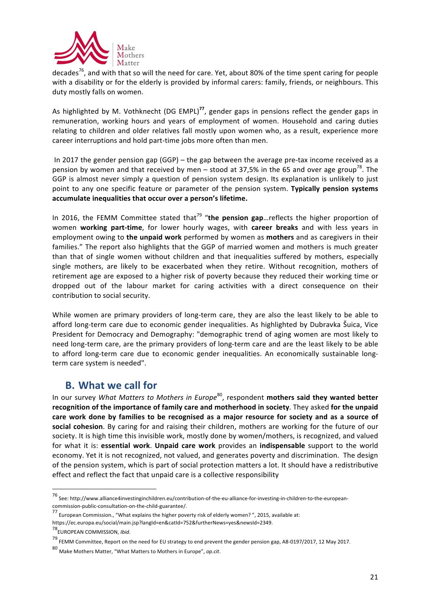

decades<sup>76</sup>, and with that so will the need for care. Yet, about 80% of the time spent caring for people with a disability or for the elderly is provided by informal carers: family, friends, or neighbours. This duty mostly falls on women.

As highlighted by M. Vothknecht (DG EMPL)<sup>77</sup>, gender gaps in pensions reflect the gender gaps in remuneration, working hours and years of employment of women. Household and caring duties relating to children and older relatives fall mostly upon women who, as a result, experience more career interruptions and hold part-time jobs more often than men.

In 2017 the gender pension gap  $(GGP)$  – the gap between the average pre-tax income received as a pension by women and that received by men – stood at 37,5% in the 65 and over age group<sup>78</sup>. The GGP is almost never simply a question of pension system design. Its explanation is unlikely to just point to any one specific feature or parameter of the pension system. Typically pension systems accumulate inequalities that occur over a person's lifetime.

In 2016, the FEMM Committee stated that<sup>79</sup> "the pension gap... reflects the higher proportion of women working part-time, for lower hourly wages, with career breaks and with less years in employment owing to the unpaid work performed by women as mothers and as caregivers in their families." The report also highlights that the GGP of married women and mothers is much greater than that of single women without children and that inequalities suffered by mothers, especially single mothers, are likely to be exacerbated when they retire. Without recognition, mothers of retirement age are exposed to a higher risk of poverty because they reduced their working time or dropped out of the labour market for caring activities with a direct consequence on their contribution to social security.

While women are primary providers of long-term care, they are also the least likely to be able to afford long-term care due to economic gender inequalities. As highlighted by Dubravka Šuica, Vice President for Democracy and Demography: "demographic trend of aging women are most likely to need long-term care, are the primary providers of long-term care and are the least likely to be able to afford long-term care due to economic gender inequalities. An economically sustainable longterm care system is needed".

### **B.** What we call for

In our survey What Matters to Mothers in Europe<sup>80</sup>, respondent **mothers said they wanted better** recognition of the importance of family care and motherhood in society. They asked for the unpaid care work done by families to be recognised as a major resource for society and as a source of **social cohesion**. By caring for and raising their children, mothers are working for the future of our society. It is high time this invisible work, mostly done by women/mothers, is recognized, and valued for what it is: **essential work. Unpaid care work** provides an **indispensable** support to the world economy. Yet it is not recognized, not valued, and generates poverty and discrimination. The design of the pension system, which is part of social protection matters a lot. It should have a redistributive effect and reflect the fact that unpaid care is a collective responsibility

<sup>76</sup> See: http://www.alliance4investinginchildren.eu/contribution-of-the-eu-alliance-for-investing-in-children-to-the-europeancommission-public-consultation-on-the-child-guarantee/.

<sup>77&</sup>lt;br>European Commission., "What explains the higher poverty risk of elderly women? ", 2015, available at:

https://ec.europa.eu/social/main.jsp?langId=en&catId=752&furtherNews=yes&newsId=2349.

<sup>78</sup>EUROPEAN COMMISSION, *Ibid*.

 $^{79}$  FEMM Committee, Report on the need for EU strategy to end prevent the gender pension gap, A8-0197/2017, 12 May 2017.

<sup>80</sup> Make Mothers Matter. "What Matters to Mothers in Europe", op.cit.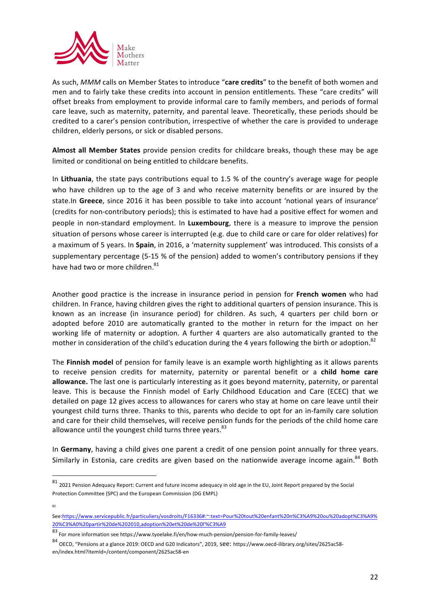

As such, MMM calls on Member States to introduce "care credits" to the benefit of both women and men and to fairly take these credits into account in pension entitlements. These "care credits" will offset breaks from employment to provide informal care to family members, and periods of formal care leave, such as maternity, paternity, and parental leave. Theoretically, these periods should be credited to a carer's pension contribution, irrespective of whether the care is provided to underage children, elderly persons, or sick or disabled persons.

Almost all Member States provide pension credits for childcare breaks, though these may be age limited or conditional on being entitled to childcare benefits.

In Lithuania, the state pays contributions equal to 1.5 % of the country's average wage for people who have children up to the age of 3 and who receive maternity benefits or are insured by the state.In Greece, since 2016 it has been possible to take into account 'notional years of insurance' (credits for non-contributory periods); this is estimated to have had a positive effect for women and people in non-standard employment. In Luxembourg, there is a measure to improve the pension situation of persons whose career is interrupted (e.g. due to child care or care for older relatives) for a maximum of 5 years. In Spain, in 2016, a 'maternity supplement' was introduced. This consists of a supplementary percentage (5-15 % of the pension) added to women's contributory pensions if they have had two or more children.<sup>81</sup>

Another good practice is the increase in insurance period in pension for **French women** who had children. In France, having children gives the right to additional quarters of pension insurance. This is known as an increase (in insurance period) for children. As such, 4 quarters per child born or adopted before 2010 are automatically granted to the mother in return for the impact on her working life of maternity or adoption. A further 4 quarters are also automatically granted to the mother in consideration of the child's education during the 4 years following the birth or adoption.<sup>82</sup>

The Finnish model of pension for family leave is an example worth highlighting as it allows parents to receive pension credits for maternity, paternity or parental benefit or a child home care allowance. The last one is particularly interesting as it goes beyond maternity, paternity, or parental leave. This is because the Finnish model of Early Childhood Education and Care (ECEC) that we detailed on page 12 gives access to allowances for carers who stay at home on care leave until their youngest child turns three. Thanks to this, parents who decide to opt for an in-family care solution and care for their child themselves, will receive pension funds for the periods of the child home care allowance until the youngest child turns three years. $83$ 

In Germany, having a child gives one parent a credit of one pension point annually for three years. Similarly in Estonia, care credits are given based on the nationwide average income again.<sup>84</sup> Both

82

 

 $81$  2021 Pension Adequacy Report: Current and future income adequacy in old age in the EU, Joint Report prepared by the Social Protection Committee (SPC) and the European Commission (DG EMPL)

See:https://www.servicepublic.fr/particuliers/vosdroits/F16336#:~:text=Pour%20tout%20enfant%20n%C3%A9%20ou%20adopt%C3%A9% 20%C3%A0%20partir%20de%202010,adoption%20et%20de%20l'%C3%A9

<sup>83</sup> For more information see https://www.tyoelake.fi/en/how-much-pension/pension-for-family-leaves/

<sup>84</sup> OECD, "Pensions at a glance 2019: OECD and G20 Indicators", 2019, See: https://www.oecd-ilibrary.org/sites/2625ac58en/index.html?itemId=/content/component/2625ac58-en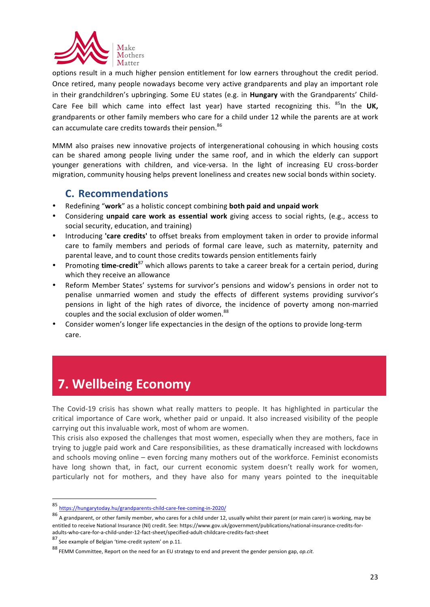

options result in a much higher pension entitlement for low earners throughout the credit period. Once retired, many people nowadays become very active grandparents and play an important role in their grandchildren's upbringing. Some EU states (e.g. in **Hungary** with the Grandparents' Child-Care Fee bill which came into effect last year) have started recognizing this. <sup>85</sup>In the UK, grandparents or other family members who care for a child under 12 while the parents are at work can accumulate care credits towards their pension.<sup>86</sup>

MMM also praises new innovative projects of intergenerational cohousing in which housing costs can be shared among people living under the same roof, and in which the elderly can support younger generations with children, and vice-versa. In the light of increasing EU cross-border migration, community housing helps prevent loneliness and creates new social bonds within society.

### **C. Recommendations**

- Redefining "work" as a holistic concept combining both paid and unpaid work
- Considering *unpaid care work as essential work giving access to social rights, (e.g., access to* social security, education, and training)
- Introducing 'care credits' to offset breaks from employment taken in order to provide informal care to family members and periods of formal care leave, such as maternity, paternity and parental leave, and to count those credits towards pension entitlements fairly
- Promoting **time-credit**<sup>87</sup> which allows parents to take a career break for a certain period, during which they receive an allowance
- Reform Member States' systems for survivor's pensions and widow's pensions in order not to penalise unmarried women and study the effects of different systems providing survivor's pensions in light of the high rates of divorce, the incidence of poverty among non-married couples and the social exclusion of older women.<sup>88</sup>
- Consider women's longer life expectancies in the design of the options to provide long-term care.

# **7. Wellbeing Economy**

The Covid-19 crisis has shown what really matters to people. It has highlighted in particular the critical importance of Care work, whether paid or unpaid. It also increased visibility of the people carrying out this invaluable work, most of whom are women.

This crisis also exposed the challenges that most women, especially when they are mothers, face in trying to juggle paid work and Care responsibilities, as these dramatically increased with lockdowns and schools moving online – even forcing many mothers out of the workforce. Feminist economists have long shown that, in fact, our current economic system doesn't really work for women, particularly not for mothers, and they have also for many years pointed to the inequitable

<u> 1989 - Jan Samuel Barbara, margaret e</u>

<sup>85</sup> https://hungarytoday.hu/grandparents-child-care-fee-coming-in-2020/

 $86$  A grandparent, or other family member, who cares for a child under 12, usually whilst their parent (or main carer) is working, may be entitled to receive National Insurance (NI) credit. See: https://www.gov.uk/government/publications/national-insurance-credits-foradults-who-care-for-a-child-under-12-fact-sheet/specified-adult-childcare-credits-fact-sheet

 $87$  See example of Belgian 'time-credit system' on p.11.

<sup>88</sup> FEMM Committee, Report on the need for an EU strategy to end and prevent the gender pension gap, *op.cit.*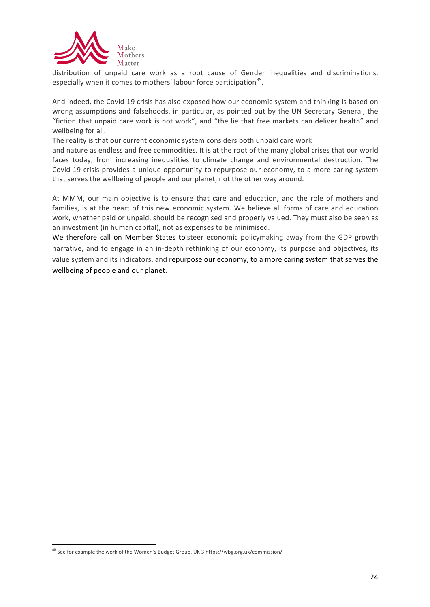

distribution of unpaid care work as a root cause of Gender inequalities and discriminations, especially when it comes to mothers' labour force participation<sup>89</sup>.

And indeed, the Covid-19 crisis has also exposed how our economic system and thinking is based on wrong assumptions and falsehoods, in particular, as pointed out by the UN Secretary General, the "fiction that unpaid care work is not work", and "the lie that free markets can deliver health" and wellbeing for all.

The reality is that our current economic system considers both unpaid care work

and nature as endless and free commodities. It is at the root of the many global crises that our world faces today, from increasing inequalities to climate change and environmental destruction. The Covid-19 crisis provides a unique opportunity to repurpose our economy, to a more caring system that serves the wellbeing of people and our planet, not the other way around.

At MMM, our main objective is to ensure that care and education, and the role of mothers and families, is at the heart of this new economic system. We believe all forms of care and education work, whether paid or unpaid, should be recognised and properly valued. They must also be seen as an investment (in human capital), not as expenses to be minimised.

We therefore call on Member States to steer economic policymaking away from the GDP growth narrative, and to engage in an in-depth rethinking of our economy, its purpose and objectives, its value system and its indicators, and repurpose our economy, to a more caring system that serves the wellbeing of people and our planet.

<u> 1989 - Jan Samuel Barbara, margaret e</u>

<sup>&</sup>lt;sup>89</sup> See for example the work of the Women's Budget Group, UK 3 https://wbg.org.uk/commission/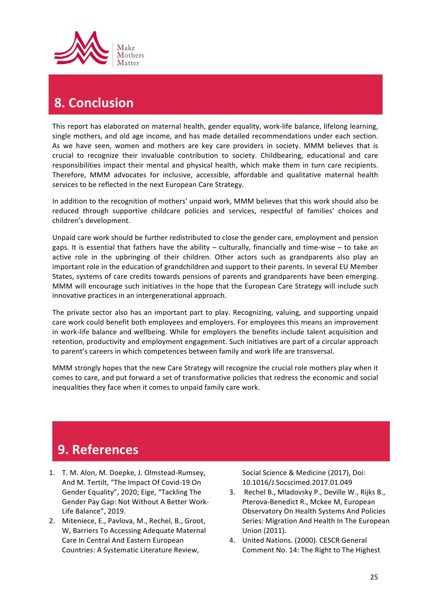

# **8. Conclusion**

This report has elaborated on maternal health, gender equality, work-life balance, lifelong learning, single mothers, and old age income, and has made detailed recommendations under each section. As we have seen, women and mothers are key care providers in society. MMM believes that is crucial to recognize their invaluable contribution to society. Childbearing, educational and care responsibilities impact their mental and physical health, which make them in turn care recipients. Therefore, MMM advocates for inclusive, accessible, affordable and qualitative maternal health services to be reflected in the next European Care Strategy.

In addition to the recognition of mothers' unpaid work, MMM believes that this work should also be reduced through supportive childcare policies and services, respectful of families' choices and children's development.

Unpaid care work should be further redistributed to close the gender care, employment and pension gaps. It is essential that fathers have the ability  $-$  culturally, financially and time-wise  $-$  to take an active role in the upbringing of their children. Other actors such as grandparents also play an important role in the education of grandchildren and support to their parents. In several EU Member States, systems of care credits towards pensions of parents and grandparents have been emerging. MMM will encourage such initiatives in the hope that the European Care Strategy will include such innovative practices in an intergenerational approach.

The private sector also has an important part to play. Recognizing, valuing, and supporting unpaid care work could benefit both employees and employers. For employees this means an improvement in work-life balance and wellbeing. While for employers the benefits include talent acquisition and retention, productivity and employment engagement. Such initiatives are part of a circular approach to parent's careers in which competences between family and work life are transversal.

MMM strongly hopes that the new Care Strategy will recognize the crucial role mothers play when it comes to care, and put forward a set of transformative policies that redress the economic and social inequalities they face when it comes to unpaid family care work.

### **9. References**

- 1. T. M. Alon, M. Doepke, J. Olmstead-Rumsey, And M. Tertilt, "The Impact Of Covid-19 On Gender Equality", 2020; Eige, "Tackling The Gender Pay Gap: Not Without A Better Work-Life Balance", 2019.
- 2. Miteniece, E., Pavlova, M., Rechel, B., Groot, W, Barriers To Accessing Adequate Maternal Care In Central And Eastern European Countries: A Systematic Literature Review,

Social Science & Medicine (2017), Doi: 10.1016/J.Socscimed.2017.01.049 

- 3. Rechel B., Mladovsky P., Deville W., Rijks B., Pterova-Benedict R., Mckee M, European Observatory On Health Systems And Policies Series: Migration And Health In The European Union (2011).
- 4. United Nations. (2000). CESCR General Comment No. 14: The Right to The Highest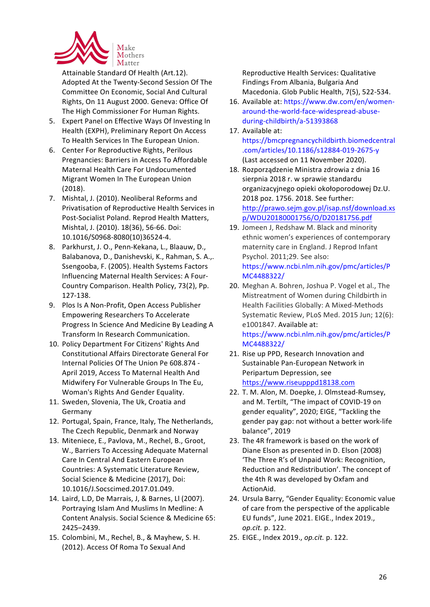

Attainable Standard Of Health (Art.12). Adopted At the Twenty-Second Session Of The Committee On Economic, Social And Cultural Rights, On 11 August 2000. Geneva: Office Of The High Commissioner For Human Rights.

- 5. Expert Panel on Effective Ways Of Investing In Health (EXPH), Preliminary Report On Access To Health Services In The European Union.
- 6. Center For Reproductive Rights, Perilous Pregnancies: Barriers in Access To Affordable Maternal Health Care For Undocumented Migrant Women In The European Union (2018).
- 7. Mishtal, J. (2010). Neoliberal Reforms and Privatisation of Reproductive Health Services in Post-Socialist Poland. Reprod Health Matters, Mishtal, J. (2010). 18(36), 56-66. Doi: 10.1016/S0968-8080(10)36524-4.
- 8. Parkhurst, J. O., Penn-Kekana, L., Blaauw, D., Balabanova, D., Danishevski, K., Rahman, S. A.,. Ssengooba, F. (2005). Health Systems Factors Influencing Maternal Health Services: A Four-Country Comparison. Health Policy, 73(2), Pp. 127-138.
- 9. Plos Is A Non-Profit, Open Access Publisher Empowering Researchers To Accelerate Progress In Science And Medicine By Leading A Transform In Research Communication.
- 10. Policy Department For Citizens' Rights And Constitutional Affairs Directorate General For Internal Policies Of The Union Pe 608.874 -April 2019, Access To Maternal Health And Midwifery For Vulnerable Groups In The Eu, Woman's Rights And Gender Equality.
- 11. Sweden, Slovenia, The Uk, Croatia and Germany
- 12. Portugal, Spain, France, Italy, The Netherlands, The Czech Republic, Denmark and Norway
- 13. Miteniece, E., Pavlova, M., Rechel, B., Groot, W., Barriers To Accessing Adequate Maternal Care In Central And Eastern European Countries: A Systematic Literature Review, Social Science & Medicine (2017), Doi: 10.1016/J.Socscimed.2017.01.049.
- 14. Laird, L.D, De Marrais, J, & Barnes, Ll (2007). Portraying Islam And Muslims In Medline: A Content Analysis. Social Science & Medicine 65: 2425–2439.
- 15. Colombini, M., Rechel, B., & Mayhew, S. H. (2012). Access Of Roma To Sexual And

Reproductive Health Services: Qualitative Findings From Albania, Bulgaria And Macedonia. Glob Public Health, 7(5), 522-534.

- 16. Available at: https://www.dw.com/en/womenaround-the-world-face-widespread-abuseduring-childbirth/a-51393868
- 17. Available at:

https://bmcpregnancychildbirth.biomedcentral .com/articles/10.1186/s12884-019-2675-y (Last accessed on 11 November 2020).

- 18. Rozporządzenie Ministra zdrowia z dnia 16 sierpnia 2018 r. w sprawie standardu organizacyjnego opieki okołoporodowej Dz.U. 2018 poz. 1756. 2018. See further: http://prawo.sejm.gov.pl/isap.nsf/download.xs p/WDU20180001756/O/D20181756.pdf
- 19. Jomeen J, Redshaw M. Black and minority ethnic women's experiences of contemporary maternity care in England. J Reprod Infant Psychol. 2011;29. See also: https://www.ncbi.nlm.nih.gov/pmc/articles/P MC4488322/
- 20. Meghan A. Bohren, Joshua P. Vogel et al., The Mistreatment of Women during Childbirth in Health Facilities Globally: A Mixed-Methods Systematic Review, PLoS Med. 2015 Jun; 12(6): e1001847. Available at: https://www.ncbi.nlm.nih.gov/pmc/articles/P

MC4488322/ 

- 21. Rise up PPD, Research Innovation and Sustainable Pan-European Network in Peripartum Depression, see https://www.riseupppd18138.com
- 22. T. M. Alon, M. Doepke, J. Olmstead-Rumsey, and M. Tertilt, "The impact of COVID-19 on gender equality", 2020; EIGE, "Tackling the gender pay gap: not without a better work-life balance", 2019
- 23. The 4R framework is based on the work of Diane Elson as presented in D. Elson (2008) 'The Three R's of Unpaid Work: Recognition, Reduction and Redistribution'. The concept of the 4th R was developed by Oxfam and ActionAid.
- 24. Ursula Barry, "Gender Equality: Economic value of care from the perspective of the applicable EU funds", June 2021. EIGE., Index 2019., *op.cit.* p. 122.
- 25. EIGE., Index 2019., *op.cit.* p. 122.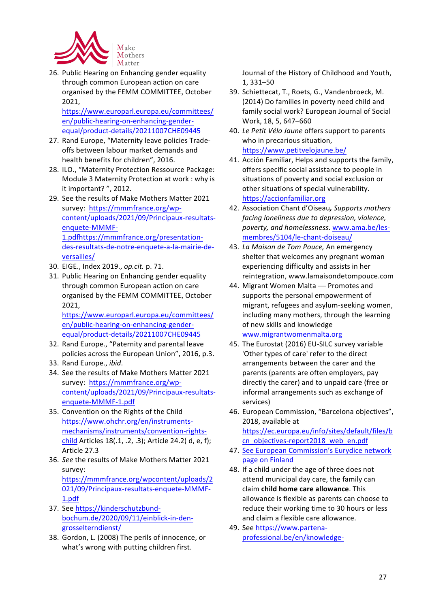

26. Public Hearing on Enhancing gender equality through common European action on care organised by the FEMM COMMITTEE, October 2021, 

https://www.europarl.europa.eu/committees/ en/public-hearing-on-enhancing-genderequal/product-details/20211007CHE09445

- 27. Rand Europe, "Maternity leave policies Tradeoffs between labour market demands and health benefits for children", 2016.
- 28. ILO., "Maternity Protection Ressource Package: Module 3 Maternity Protection at work : why is it important?", 2012.
- 29. See the results of Make Mothers Matter 2021 survey: https://mmmfrance.org/wpcontent/uploads/2021/09/Principaux-resultatsenquete-MMMF-1.pdfhttps://mmmfrance.org/presentationdes-resultats-de-notre-enquete-a-la-mairie-deversailles/
- 30. EIGE., Index 2019., *op.cit.* p. 71.
- 31. Public Hearing on Enhancing gender equality through common European action on care organised by the FEMM COMMITTEE, October 2021,

https://www.europarl.europa.eu/committees/ en/public-hearing-on-enhancing-genderequal/product-details/20211007CHE09445

- 32. Rand Europe., "Paternity and parental leave policies across the European Union", 2016, p.3.
- 33. Rand Europe., *ibid*.
- 34. See the results of Make Mothers Matter 2021 survey: https://mmmfrance.org/wpcontent/uploads/2021/09/Principaux-resultatsenquete-MMMF-1.pdf
- 35. Convention on the Rights of the Child https://www.ohchr.org/en/instrumentsmechanisms/instruments/convention-rightschild Articles  $18(.1, .2, .3)$ ; Article  $24.2($  d, e, f); Article 27.3
- 36. See the results of Make Mothers Matter 2021 survey: https://mmmfrance.org/wpcontent/uploads/2

021/09/Principaux-resultats-enquete-MMMF-1.pdf

- 37. See https://kinderschutzbundbochum.de/2020/09/11/einblick-in-dengrosselterndienst/
- 38. Gordon, L. (2008) The perils of innocence, or what's wrong with putting children first.

Journal of the History of Childhood and Youth, 1, 331–50

- 39. Schiettecat, T., Roets, G., Vandenbroeck, M. (2014) Do families in poverty need child and family social work? European Journal of Social Work, 18, 5, 647-660
- 40. *Le Petit Vélo Jaune* offers support to parents who in precarious situation, https://www.petitvelojaune.be/
- 41. Acción Familiar, Helps and supports the family, offers specific social assistance to people in situations of poverty and social exclusion or other situations of special vulnerability. https://accionfamiliar.org
- 42. Association Chant d'Oiseau, Supports mothers *facing loneliness due to depression, violence, poverty, and homelessness*. www.ama.be/lesmembres/5104/le-chant-doiseau/
- 43. La Maison de Tom Pouce, An emergency shelter that welcomes any pregnant woman experiencing difficulty and assists in her reintegration, www.lamaisondetompouce.com
- 44. Migrant Women Malta -- Promotes and supports the personal empowerment of migrant, refugees and asylum-seeking women, including many mothers, through the learning of new skills and knowledge www.migrantwomenmalta.org
- 45. The Eurostat (2016) EU-SILC survey variable 'Other types of care' refer to the direct arrangements between the carer and the parents (parents are often employers, pay directly the carer) and to unpaid care (free or informal arrangements such as exchange of services)
- 46. European Commission, "Barcelona objectives", 2018, available at https://ec.europa.eu/info/sites/default/files/b cn\_objectives-report2018\_web\_en.pdf
- 47. See European Commission's Eurydice network page on Finland
- 48. If a child under the age of three does not attend municipal day care, the family can claim **child home care allowance**. This allowance is flexible as parents can choose to reduce their working time to 30 hours or less and claim a flexible care allowance.
- 49. See https://www.partenaprofessional.be/en/knowledge-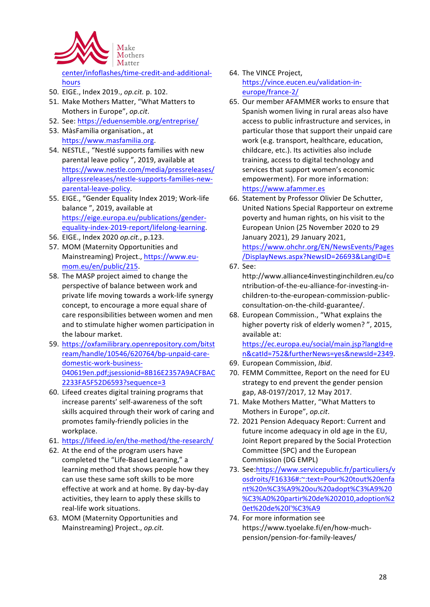

center/infoflashes/time-credit-and-additionalhours

- 50. EIGE., Index 2019., *op.cit.* p. 102.
- 51. Make Mothers Matter, "What Matters to Mothers in Europe", op.cit.
- 52. See: https://eduensemble.org/entreprise/
- 53. MàsFamilia organisation., at https://www.masfamilia.org.
- 54. NESTLE., "Nestlé supports families with new parental leave policy", 2019, available at https://www.nestle.com/media/pressreleases/ allpressreleases/nestle-supports-families-newparental-leave-policy.
- 55. EIGE., "Gender Equality Index 2019; Work-life balance ", 2019, available at https://eige.europa.eu/publications/genderequality-index-2019-report/lifelong-learning.
- 56. EIGE., Index 2020 op.cit., p.123.
- 57. MOM (Maternity Opportunities and Mainstreaming) Project., https://www.eumom.eu/en/public/215.
- 58. The MASP project aimed to change the perspective of balance between work and private life moving towards a work-life synergy concept, to encourage a more equal share of care responsibilities between women and men and to stimulate higher women participation in the labour market.
- 59. https://oxfamilibrary.openrepository.com/bitst ream/handle/10546/620764/bp-unpaid-caredomestic-work-business-040619en.pdf;jsessionid=8B16E2357A9ACFBAC 2233FA5F52D6593?sequence=3
- 60. Lifeed creates digital training programs that increase parents' self-awareness of the soft skills acquired through their work of caring and promotes family-friendly policies in the workplace.
- 61. https://lifeed.io/en/the-method/the-research/
- 62. At the end of the program users have completed the "Life-Based Learning," a learning method that shows people how they can use these same soft skills to be more effective at work and at home. By day-by-day activities, they learn to apply these skills to real-life work situations.
- 63. MOM (Maternity Opportunities and Mainstreaming) Project., op.cit.
- 64. The VINCE Project. https://vince.eucen.eu/validation-ineurope/france-2/
- 65. Our member AFAMMER works to ensure that Spanish women living in rural areas also have access to public infrastructure and services, in particular those that support their unpaid care work (e.g. transport, healthcare, education, childcare, etc.). Its activities also include training, access to digital technology and services that support women's economic empowerment). For more information: https://www.afammer.es
- 66. Statement by Professor Olivier De Schutter, United Nations Special Rapporteur on extreme poverty and human rights, on his visit to the European Union (25 November 2020 to 29 January 2021), 29 January 2021, https://www.ohchr.org/EN/NewsEvents/Pages /DisplayNews.aspx?NewsID=26693&LangID=E 67. See:
	- http://www.alliance4investinginchildren.eu/co ntribution-of-the-eu-alliance-for-investing-inchildren-to-the-european-commission-publicconsultation-on-the-child-guarantee/.
- 68. European Commission., "What explains the higher poverty risk of elderly women? ", 2015, available at:

https://ec.europa.eu/social/main.jsp?langId=e n&catId=752&furtherNews=yes&newsId=2349.

- 69. European Commission, *Ibid*.
- 70. FEMM Committee, Report on the need for EU strategy to end prevent the gender pension gap, A8-0197/2017, 12 May 2017.
- 71. Make Mothers Matter, "What Matters to Mothers in Europe", op.cit.
- 72. 2021 Pension Adequacy Report: Current and future income adequacy in old age in the EU, Joint Report prepared by the Social Protection Committee (SPC) and the European Commission (DG EMPL)
- 73. See:https://www.servicepublic.fr/particuliers/v osdroits/F16336#:~:text=Pour%20tout%20enfa nt%20n%C3%A9%20ou%20adopt%C3%A9%20 %C3%A0%20partir%20de%202010,adoption%2 0et%20de%20l'%C3%A9
- 74. For more information see https://www.tyoelake.fi/en/how-muchpension/pension-for-family-leaves/